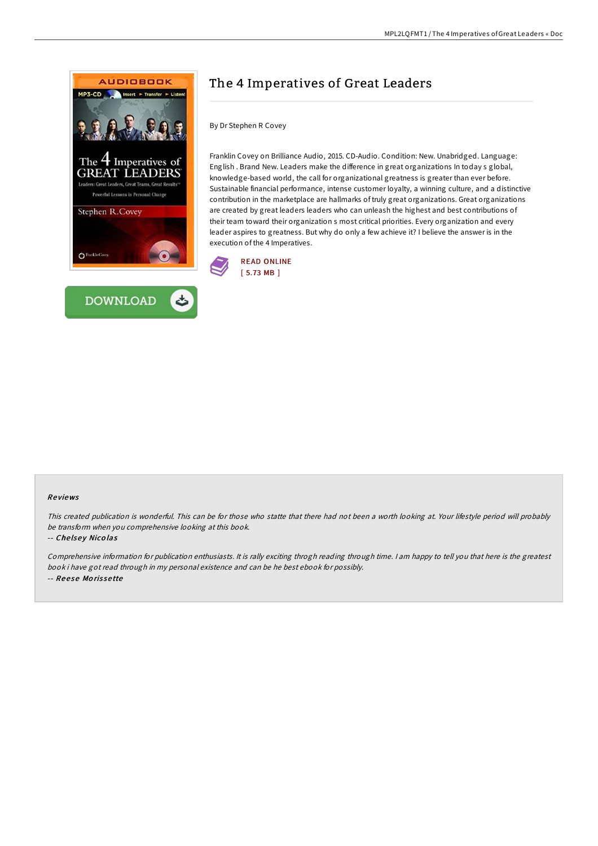



# The 4 Imperatives of Great Leaders

By Dr Stephen R Covey

Franklin Covey on Brilliance Audio, 2015. CD-Audio. Condition: New. Unabridged. Language: English . Brand New. Leaders make the difference in great organizations In today s global, knowledge-based world, the call for organizational greatness is greater than ever before. Sustainable financial performance, intense customer loyalty, a winning culture, and a distinctive contribution in the marketplace are hallmarks of truly great organizations. Great organizations are created by great leaders leaders who can unleash the highest and best contributions of their team toward their organization s most critical priorities. Every organization and every leader aspires to greatness. But why do only a few achieve it? I believe the answer is in the execution of the 4 Imperatives.



### Re views

This created publication is wonderful. This can be for those who statte that there had not been <sup>a</sup> worth looking at. Your lifestyle period will probably be transform when you comprehensive looking at this book.

#### -- Chelsey Nicolas

Comprehensive information for publication enthusiasts. It is rally exciting throgh reading through time. I am happy to tell you that here is the greatest book i have got read through in my personal existence and can be he best ebook for possibly. -- Reese Morissette